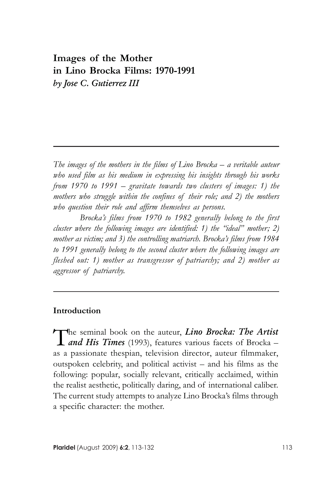# Images of the Mother in Lino Brocka Films: 1970-1991 by Jose C. Gutierrez III

The images of the mothers in the films of Lino Brocka – a veritable auteur who used film as his medium in expressing his insights through his works from 1970 to 1991 – gravitate towards two clusters of images: 1) the mothers who struggle within the confines of their role; and 2) the mothers who question their role and affirm themselves as persons.

Brocka's films from 1970 to 1982 generally belong to the first cluster where the following images are identified: 1) the "ideal" mother; 2) mother as victim; and 3) the controlling matriarch. Brocka's films from 1984 to 1991 generally belong to the second cluster where the following images are fleshed out: 1) mother as transgressor of patriarchy; and 2) mother as aggressor of patriarchy.

#### Introduction

The seminal book on the auteur, *Lino Brocka: The Artist*<br>
and His Times (1993), features various facets of Brocka – The seminal book on the auteur, Lino Brocka: The Artist as a passionate thespian, television director, auteur filmmaker, outspoken celebrity, and political activist – and his films as the following: popular, socially relevant, critically acclaimed, within the realist aesthetic, politically daring, and of international caliber. The current study attempts to analyze Lino Brocka's films through a specific character: the mother.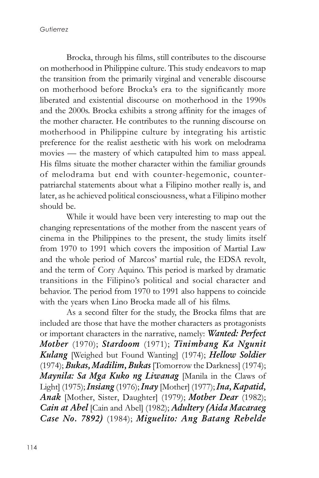Brocka, through his films, still contributes to the discourse on motherhood in Philippine culture. This study endeavors to map the transition from the primarily virginal and venerable discourse on motherhood before Brocka's era to the significantly more liberated and existential discourse on motherhood in the 1990s and the 2000s. Brocka exhibits a strong affinity for the images of the mother character. He contributes to the running discourse on motherhood in Philippine culture by integrating his artistic preference for the realist aesthetic with his work on melodrama movies — the mastery of which catapulted him to mass appeal. His films situate the mother character within the familiar grounds of melodrama but end with counter-hegemonic, counterpatriarchal statements about what a Filipino mother really is, and later, as he achieved political consciousness, what a Filipino mother should be.

While it would have been very interesting to map out the changing representations of the mother from the nascent years of cinema in the Philippines to the present, the study limits itself from 1970 to 1991 which covers the imposition of Martial Law and the whole period of Marcos' martial rule, the EDSA revolt, and the term of Cory Aquino. This period is marked by dramatic transitions in the Filipino's political and social character and behavior. The period from 1970 to 1991 also happens to coincide with the years when Lino Brocka made all of his films.

As a second filter for the study, the Brocka films that are included are those that have the mother characters as protagonists or important characters in the narrative, namely: Wanted: Perfect Mother (1970); Stardoom (1971); Tinimbang Ka Ngunit Kulang [Weighed but Found Wanting] (1974); Hellow Soldier (1974); Bukas, Madilim, Bukas [Tomorrow the Darkness] (1974); Maynila: Sa Mga Kuko ng Liwanag [Manila in the Claws of Light] (1975); *Insiang* (1976); *Inay* [Mother] (1977); *Ina, Kapatid,* Anak [Mother, Sister, Daughter] (1979); Mother Dear (1982); Cain at Abel [Cain and Abel] (1982); Adultery (Aida Macaraeg Case No. 7892) (1984); Miguelito: Ang Batang Rebelde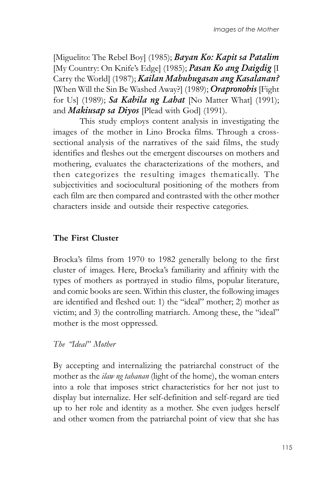[Miguelito: The Rebel Boy] (1985); Bayan Ko: Kapit sa Patalim [My Country: On Knife's Edge] (1985); Pasan Ko ang Daigdig [I Carry the World] (1987); Kailan Mahuhugasan ang Kasalanan? [When Will the Sin Be Washed Away?] (1989); *Orapronobis* [Fight] for Us] (1989); Sa Kabila ng Labat [No Matter What] (1991); and Makiusap sa Diyos [Plead with God] (1991).

This study employs content analysis in investigating the images of the mother in Lino Brocka films. Through a crosssectional analysis of the narratives of the said films, the study identifies and fleshes out the emergent discourses on mothers and mothering, evaluates the characterizations of the mothers, and then categorizes the resulting images thematically. The subjectivities and sociocultural positioning of the mothers from each film are then compared and contrasted with the other mother characters inside and outside their respective categories.

# The First Cluster

Brocka's films from 1970 to 1982 generally belong to the first cluster of images. Here, Brocka's familiarity and affinity with the types of mothers as portrayed in studio films, popular literature, and comic books are seen. Within this cluster, the following images are identified and fleshed out: 1) the "ideal" mother; 2) mother as victim; and 3) the controlling matriarch. Among these, the "ideal" mother is the most oppressed.

#### The "Ideal" Mother

By accepting and internalizing the patriarchal construct of the mother as the *ilaw ng tahanan* (light of the home), the woman enters into a role that imposes strict characteristics for her not just to display but internalize. Her self-definition and self-regard are tied up to her role and identity as a mother. She even judges herself and other women from the patriarchal point of view that she has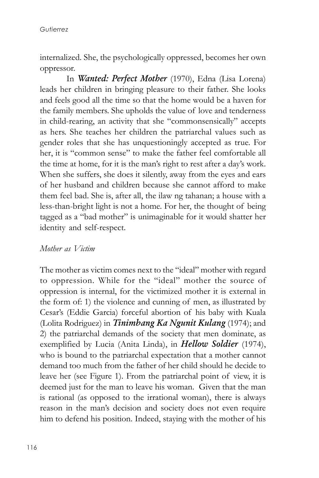internalized. She, the psychologically oppressed, becomes her own oppressor.

In Wanted: Perfect Mother (1970), Edna (Lisa Lorena) leads her children in bringing pleasure to their father. She looks and feels good all the time so that the home would be a haven for the family members. She upholds the value of love and tenderness in child-rearing, an activity that she "commonsensically" accepts as hers. She teaches her children the patriarchal values such as gender roles that she has unquestioningly accepted as true. For her, it is "common sense" to make the father feel comfortable all the time at home, for it is the man's right to rest after a day's work. When she suffers, she does it silently, away from the eyes and ears of her husband and children because she cannot afford to make them feel bad. She is, after all, the ilaw ng tahanan; a house with a less-than-bright light is not a home. For her, the thought of being tagged as a "bad mother" is unimaginable for it would shatter her identity and self-respect.

#### Mother as *Victim*

The mother as victim comes next to the "ideal" mother with regard to oppression. While for the "ideal" mother the source of oppression is internal, for the victimized mother it is external in the form of: 1) the violence and cunning of men, as illustrated by Cesar's (Eddie Garcia) forceful abortion of his baby with Kuala (Lolita Rodriguez) in *Tinimbang Ka Ngunit Kulang* (1974); and 2) the patriarchal demands of the society that men dominate, as exemplified by Lucia (Anita Linda), in **Hellow Soldier** (1974), who is bound to the patriarchal expectation that a mother cannot demand too much from the father of her child should he decide to leave her (see Figure 1). From the patriarchal point of view, it is deemed just for the man to leave his woman. Given that the man is rational (as opposed to the irrational woman), there is always reason in the man's decision and society does not even require him to defend his position. Indeed, staying with the mother of his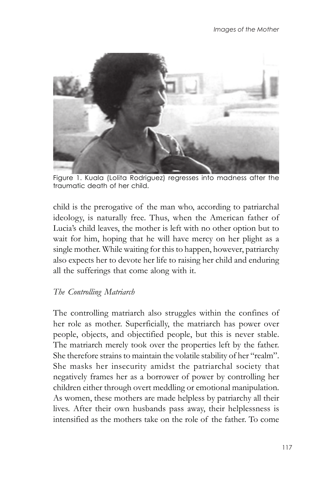

Figure 1. Kuala (Lolita Rodriguez) regresses into madness after the traumatic death of her child.

child is the prerogative of the man who, according to patriarchal ideology, is naturally free. Thus, when the American father of Lucia's child leaves, the mother is left with no other option but to wait for him, hoping that he will have mercy on her plight as a single mother. While waiting for this to happen, however, patriarchy also expects her to devote her life to raising her child and enduring all the sufferings that come along with it.

### The Controlling Matriarch

The controlling matriarch also struggles within the confines of her role as mother. Superficially, the matriarch has power over people, objects, and objectified people, but this is never stable. The matriarch merely took over the properties left by the father. She therefore strains to maintain the volatile stability of her "realm". She masks her insecurity amidst the patriarchal society that negatively frames her as a borrower of power by controlling her children either through overt meddling or emotional manipulation. As women, these mothers are made helpless by patriarchy all their lives. After their own husbands pass away, their helplessness is intensified as the mothers take on the role of the father. To come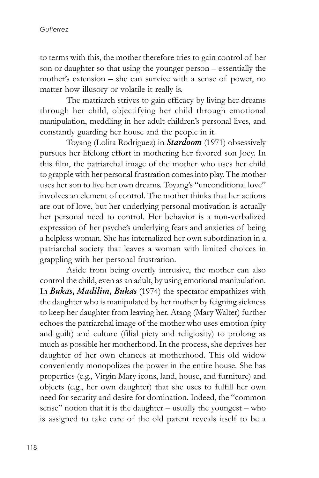to terms with this, the mother therefore tries to gain control of her son or daughter so that using the younger person – essentially the mother's extension – she can survive with a sense of power, no matter how illusory or volatile it really is.

The matriarch strives to gain efficacy by living her dreams through her child, objectifying her child through emotional manipulation, meddling in her adult children's personal lives, and constantly guarding her house and the people in it.

Toyang (Lolita Rodriguez) in Stardoom (1971) obsessively pursues her lifelong effort in mothering her favored son Joey. In this film, the patriarchal image of the mother who uses her child to grapple with her personal frustration comes into play. The mother uses her son to live her own dreams. Toyang's "unconditional love" involves an element of control. The mother thinks that her actions are out of love, but her underlying personal motivation is actually her personal need to control. Her behavior is a non-verbalized expression of her psyche's underlying fears and anxieties of being a helpless woman. She has internalized her own subordination in a patriarchal society that leaves a woman with limited choices in grappling with her personal frustration.

Aside from being overtly intrusive, the mother can also control the child, even as an adult, by using emotional manipulation. In Bukas, Madilim, Bukas (1974) the spectator empathizes with the daughter who is manipulated by her mother by feigning sickness to keep her daughter from leaving her. Atang (Mary Walter) further echoes the patriarchal image of the mother who uses emotion (pity and guilt) and culture (filial piety and religiosity) to prolong as much as possible her motherhood. In the process, she deprives her daughter of her own chances at motherhood. This old widow conveniently monopolizes the power in the entire house. She has properties (e.g., Virgin Mary icons, land, house, and furniture) and objects (e.g., her own daughter) that she uses to fulfill her own need for security and desire for domination. Indeed, the "common sense" notion that it is the daughter – usually the youngest – who is assigned to take care of the old parent reveals itself to be a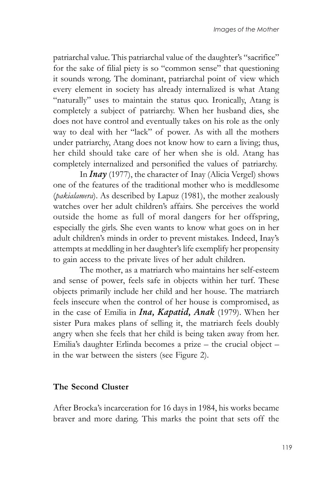patriarchal value. This patriarchal value of the daughter's "sacrifice" for the sake of filial piety is so "common sense" that questioning it sounds wrong. The dominant, patriarchal point of view which every element in society has already internalized is what Atang "naturally" uses to maintain the status quo. Ironically, Atang is completely a subject of patriarchy. When her husband dies, she does not have control and eventually takes on his role as the only way to deal with her "lack" of power. As with all the mothers under patriarchy, Atang does not know how to earn a living; thus, her child should take care of her when she is old. Atang has completely internalized and personified the values of patriarchy.

In  $\textit{In} \textit{In}$  (1977), the character of Inay (Alicia Vergel) shows one of the features of the traditional mother who is meddlesome (pakialamera). As described by Lapuz (1981), the mother zealously watches over her adult children's affairs. She perceives the world outside the home as full of moral dangers for her offspring, especially the girls. She even wants to know what goes on in her adult children's minds in order to prevent mistakes. Indeed, Inay's attempts at meddling in her daughter's life exemplify her propensity to gain access to the private lives of her adult children.

The mother, as a matriarch who maintains her self-esteem and sense of power, feels safe in objects within her turf. These objects primarily include her child and her house. The matriarch feels insecure when the control of her house is compromised, as in the case of Emilia in *Ina*, *Kapatid*, *Anak* (1979). When her sister Pura makes plans of selling it, the matriarch feels doubly angry when she feels that her child is being taken away from her. Emilia's daughter Erlinda becomes a prize – the crucial object – in the war between the sisters (see Figure 2).

### The Second Cluster

After Brocka's incarceration for 16 days in 1984, his works became braver and more daring. This marks the point that sets off the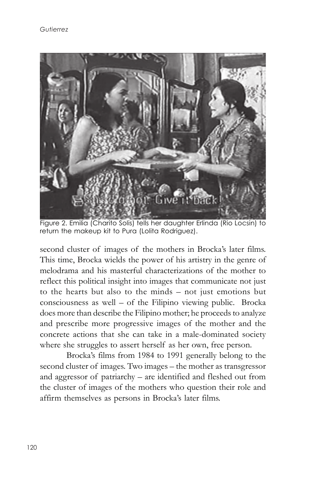

Figure 2. Emilia (Charito Solis) tells her daughter Erlinda (Rio Locsin) to return the makeup kit to Pura (Lolita Rodriguez).

second cluster of images of the mothers in Brocka's later films. This time, Brocka wields the power of his artistry in the genre of melodrama and his masterful characterizations of the mother to reflect this political insight into images that communicate not just to the hearts but also to the minds – not just emotions but consciousness as well – of the Filipino viewing public. Brocka does more than describe the Filipino mother; he proceeds to analyze and prescribe more progressive images of the mother and the concrete actions that she can take in a male-dominated society where she struggles to assert herself as her own, free person.

Brocka's films from 1984 to 1991 generally belong to the second cluster of images. Two images – the mother as transgressor and aggressor of patriarchy – are identified and fleshed out from the cluster of images of the mothers who question their role and affirm themselves as persons in Brocka's later films.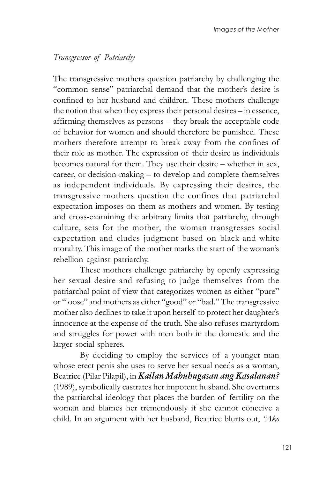## Transgressor of Patriarchy

The transgressive mothers question patriarchy by challenging the "common sense" patriarchal demand that the mother's desire is confined to her husband and children. These mothers challenge the notion that when they express their personal desires – in essence, affirming themselves as persons – they break the acceptable code of behavior for women and should therefore be punished. These mothers therefore attempt to break away from the confines of their role as mother. The expression of their desire as individuals becomes natural for them. They use their desire – whether in sex, career, or decision-making – to develop and complete themselves as independent individuals. By expressing their desires, the transgressive mothers question the confines that patriarchal expectation imposes on them as mothers and women. By testing and cross-examining the arbitrary limits that patriarchy, through culture, sets for the mother, the woman transgresses social expectation and eludes judgment based on black-and-white morality. This image of the mother marks the start of the woman's rebellion against patriarchy.

These mothers challenge patriarchy by openly expressing her sexual desire and refusing to judge themselves from the patriarchal point of view that categorizes women as either "pure" or "loose" and mothers as either "good" or "bad." The transgressive mother also declines to take it upon herself to protect her daughter's innocence at the expense of the truth. She also refuses martyrdom and struggles for power with men both in the domestic and the larger social spheres.

By deciding to employ the services of a younger man whose erect penis she uses to serve her sexual needs as a woman, Beatrice (Pilar Pilapil), in Kailan Mahuhugasan ang Kasalanan? (1989), symbolically castrates her impotent husband. She overturns the patriarchal ideology that places the burden of fertility on the woman and blames her tremendously if she cannot conceive a child. In an argument with her husband, Beatrice blurts out, "Ako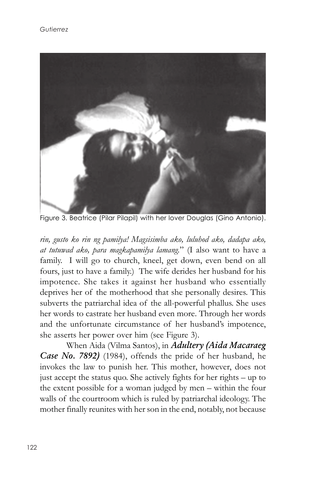

Figure 3. Beatrice (Pilar Pilapil) with her lover Douglas (Gino Antonio).

rin, gusto ko rin ng pamilya! Magsisimba ako, luluhod ako, dadapa ako, at tutuwad ako, para magkapamilya lamang." (I also want to have a family. I will go to church, kneel, get down, even bend on all fours, just to have a family.) The wife derides her husband for his impotence. She takes it against her husband who essentially deprives her of the motherhood that she personally desires. This subverts the patriarchal idea of the all-powerful phallus. She uses her words to castrate her husband even more. Through her words and the unfortunate circumstance of her husband's impotence, she asserts her power over him (see Figure 3).

When Aida (Vilma Santos), in Adultery (Aida Macaraeg Case No. 7892) (1984), offends the pride of her husband, he invokes the law to punish her. This mother, however, does not just accept the status quo. She actively fights for her rights – up to the extent possible for a woman judged by men – within the four walls of the courtroom which is ruled by patriarchal ideology. The mother finally reunites with her son in the end, notably, not because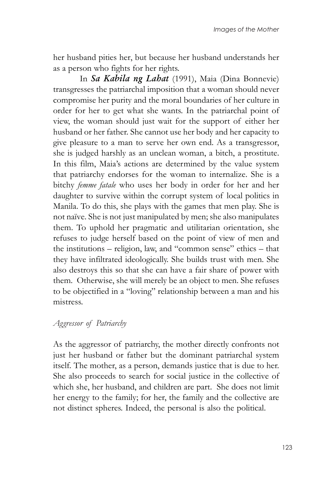her husband pities her, but because her husband understands her as a person who fights for her rights.

In Sa Kabila ng Labat (1991), Maia (Dina Bonnevie) transgresses the patriarchal imposition that a woman should never compromise her purity and the moral boundaries of her culture in order for her to get what she wants. In the patriarchal point of view, the woman should just wait for the support of either her husband or her father. She cannot use her body and her capacity to give pleasure to a man to serve her own end. As a transgressor, she is judged harshly as an unclean woman, a bitch, a prostitute. In this film, Maia's actions are determined by the value system that patriarchy endorses for the woman to internalize. She is a bitchy femme fatale who uses her body in order for her and her daughter to survive within the corrupt system of local politics in Manila. To do this, she plays with the games that men play. She is not naïve. She is not just manipulated by men; she also manipulates them. To uphold her pragmatic and utilitarian orientation, she refuses to judge herself based on the point of view of men and the institutions – religion, law, and "common sense" ethics – that they have infiltrated ideologically. She builds trust with men. She also destroys this so that she can have a fair share of power with them. Otherwise, she will merely be an object to men. She refuses to be objectified in a "loving" relationship between a man and his mistress.

### Aggressor of Patriarchy

As the aggressor of patriarchy, the mother directly confronts not just her husband or father but the dominant patriarchal system itself. The mother, as a person, demands justice that is due to her. She also proceeds to search for social justice in the collective of which she, her husband, and children are part. She does not limit her energy to the family; for her, the family and the collective are not distinct spheres. Indeed, the personal is also the political.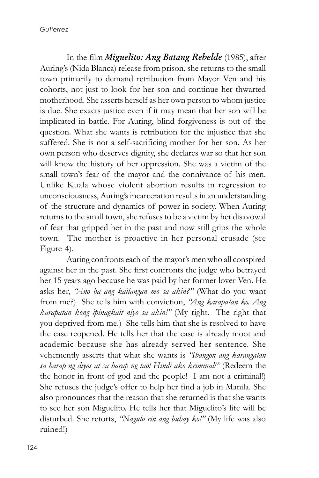In the film *Miguelito: Ang Batang Rebelde* (1985), after Auring's (Nida Blanca) release from prison, she returns to the small town primarily to demand retribution from Mayor Ven and his cohorts, not just to look for her son and continue her thwarted motherhood. She asserts herself as her own person to whom justice is due. She exacts justice even if it may mean that her son will be implicated in battle. For Auring, blind forgiveness is out of the question. What she wants is retribution for the injustice that she suffered. She is not a self-sacrificing mother for her son. As her own person who deserves dignity, she declares war so that her son will know the history of her oppression. She was a victim of the small town's fear of the mayor and the connivance of his men. Unlike Kuala whose violent abortion results in regression to unconsciousness, Auring's incarceration results in an understanding of the structure and dynamics of power in society. When Auring returns to the small town, she refuses to be a victim by her disavowal of fear that gripped her in the past and now still grips the whole town. The mother is proactive in her personal crusade (see Figure 4).

Auring confronts each of the mayor's men who all conspired against her in the past. She first confronts the judge who betrayed her 15 years ago because he was paid by her former lover Ven. He asks her, "Ano ba ang kailangan mo sa akin?" (What do you want from me?) She tells him with conviction, "Ang karapatan ko. Ang karapatan kong ipinagkait niyo sa akin!" (My right. The right that you deprived from me.) She tells him that she is resolved to have the case reopened. He tells her that the case is already moot and academic because she has already served her sentence. She vehemently asserts that what she wants is "Ibangon ang karangalan sa harap ng diyos at sa harap ng tao! Hindi ako kriminal!" (Redeem the the honor in front of god and the people! I am not a criminal!) She refuses the judge's offer to help her find a job in Manila. She also pronounces that the reason that she returned is that she wants to see her son Miguelito. He tells her that Miguelito's life will be disturbed. She retorts, "Nagulo rin ang buhay ko!" (My life was also ruined!)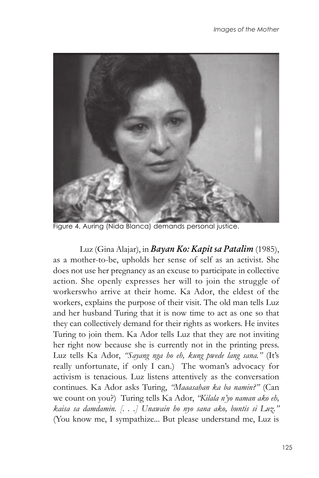

Figure 4. Auring (Nida Blanca) demands personal justice.

Luz (Gina Alajar), in Bayan Ko: Kapit sa Patalim (1985), as a mother-to-be, upholds her sense of self as an activist. She does not use her pregnancy as an excuse to participate in collective action. She openly expresses her will to join the struggle of workerswho arrive at their home. Ka Ador, the eldest of the workers, explains the purpose of their visit. The old man tells Luz and her husband Turing that it is now time to act as one so that they can collectively demand for their rights as workers. He invites Turing to join them. Ka Ador tells Luz that they are not inviting her right now because she is currently not in the printing press. Luz tells Ka Ador, "Sayang nga ho eh, kung pwede lang sana." (It's really unfortunate, if only I can.) The woman's advocacy for activism is tenacious. Luz listens attentively as the conversation continues. Ka Ador asks Turing, "Maaasahan ka ba namin?" (Can we count on you?) Turing tells Ka Ador, "Kilala n'yo naman ako eh, kaisa sa damdamin. [. . .] Unawain ho nyo sana ako, buntis si Luz." (You know me, I sympathize... But please understand me, Luz is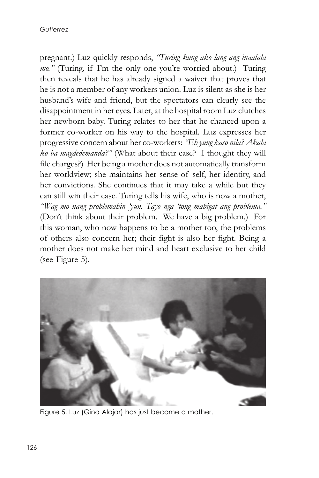pregnant.) Luz quickly responds, "Turing kung ako lang ang inaalala mo." (Turing, if I'm the only one you're worried about.) Turing then reveals that he has already signed a waiver that proves that he is not a member of any workers union. Luz is silent as she is her husband's wife and friend, but the spectators can clearly see the disappointment in her eyes. Later, at the hospital room Luz clutches her newborn baby. Turing relates to her that he chanced upon a former co-worker on his way to the hospital. Luz expresses her progressive concern about her co-workers: "Eh yung kaso nila? Akala ko ba magdedemanda?" (What about their case? I thought they will file charges?) Her being a mother does not automatically transform her worldview; she maintains her sense of self, her identity, and her convictions. She continues that it may take a while but they can still win their case. Turing tells his wife, who is now a mother, "Wag mo nang problemahin 'yun. Tayo nga 'tong mabigat ang problema." (Don't think about their problem. We have a big problem.) For this woman, who now happens to be a mother too, the problems of others also concern her; their fight is also her fight. Being a mother does not make her mind and heart exclusive to her child (see Figure 5).



Figure 5. Luz (Gina Alajar) has just become a mother.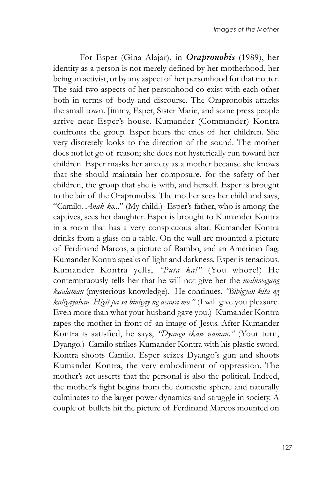For Esper (Gina Alajar), in Orapronobis (1989), her identity as a person is not merely defined by her motherhood, her being an activist, or by any aspect of her personhood for that matter. The said two aspects of her personhood co-exist with each other both in terms of body and discourse. The Orapronobis attacks the small town. Jimmy, Esper, Sister Marie, and some press people arrive near Esper's house. Kumander (Commander) Kontra confronts the group. Esper hears the cries of her children. She very discretely looks to the direction of the sound. The mother does not let go of reason; she does not hysterically run toward her children. Esper masks her anxiety as a mother because she knows that she should maintain her composure, for the safety of her children, the group that she is with, and herself. Esper is brought to the lair of the Orapronobis. The mother sees her child and says, "Camilo. Anak ko..." (My child.) Esper's father, who is among the captives, sees her daughter. Esper is brought to Kumander Kontra in a room that has a very conspicuous altar. Kumander Kontra drinks from a glass on a table. On the wall are mounted a picture of Ferdinand Marcos, a picture of Rambo, and an American flag. Kumander Kontra speaks of light and darkness. Esper is tenacious. Kumander Kontra yells, "Puta ka!" (You whore!) He contemptuously tells her that he will not give her the *mahiwagang* kaalaman (mysterious knowledge). He continues, "Bibigyan kita ng kaligayahan. Higit pa sa binigay ng asawa mo." (I will give you pleasure. Even more than what your husband gave you.) Kumander Kontra rapes the mother in front of an image of Jesus. After Kumander Kontra is satisfied, he says, "Dyango ikaw naman." (Your turn, Dyango.) Camilo strikes Kumander Kontra with his plastic sword. Kontra shoots Camilo. Esper seizes Dyango's gun and shoots Kumander Kontra, the very embodiment of oppression. The mother's act asserts that the personal is also the political. Indeed, the mother's fight begins from the domestic sphere and naturally culminates to the larger power dynamics and struggle in society. A couple of bullets hit the picture of Ferdinand Marcos mounted on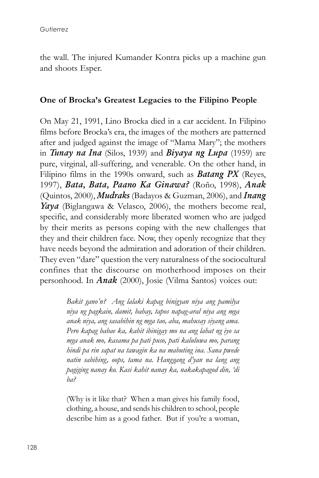the wall. The injured Kumander Kontra picks up a machine gun and shoots Esper.

#### One of Brocka's Greatest Legacies to the Filipino People

On May 21, 1991, Lino Brocka died in a car accident. In Filipino films before Brocka's era, the images of the mothers are patterned after and judged against the image of "Mama Mary"; the mothers in Tunay na Ina (Silos, 1939) and Biyaya ng Lupa (1959) are pure, virginal, all-suffering, and venerable. On the other hand, in Filipino films in the 1990s onward, such as **Batang PX** (Reyes, 1997), Bata, Bata, Paano Ka Ginawa? (Roño, 1998), Anak (Quintos, 2000), *Mudraks* (Badayos & Guzman, 2006), and *Inang* Yaya (Biglangawa & Velasco, 2006), the mothers become real, specific, and considerably more liberated women who are judged by their merits as persons coping with the new challenges that they and their children face. Now, they openly recognize that they have needs beyond the admiration and adoration of their children. They even "dare" question the very naturalness of the sociocultural confines that the discourse on motherhood imposes on their personhood. In Anak (2000), Josie (Vilma Santos) voices out:

> Bakit gano'n? Ang lalaki kapag binigyan niya ang pamilya niya ng pagkain, damit, bahay, tapos napag-aral niya ang mga anak niya, ang sasabihin ng mga tao, aba, mahusay siyang ama. Pero kapag babae ka, kahit ibinigay mo na ang lahat ng iyo sa mga anak mo, kasama pa pati puso, pati kaluluwa mo, parang hindi pa rin sapat na tawagin ka na mabuting ina. Sana pwede natin sabihing, oops, tama na. Hanggang d'yan na lang ang pagiging nanay ko. Kasi kahit nanay ka, nakakapagod din, 'di ba?

> (Why is it like that? When a man gives his family food, clothing, a house, and sends his children to school, people describe him as a good father. But if you're a woman,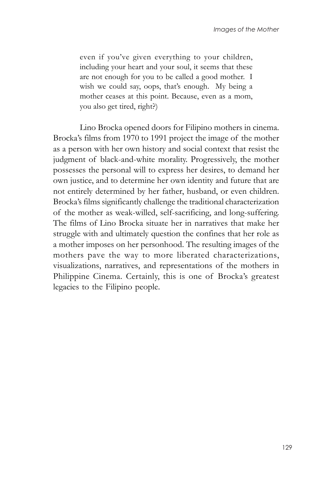even if you've given everything to your children, including your heart and your soul, it seems that these are not enough for you to be called a good mother. I wish we could say, oops, that's enough. My being a mother ceases at this point. Because, even as a mom, you also get tired, right?)

Lino Brocka opened doors for Filipino mothers in cinema. Brocka's films from 1970 to 1991 project the image of the mother as a person with her own history and social context that resist the judgment of black-and-white morality. Progressively, the mother possesses the personal will to express her desires, to demand her own justice, and to determine her own identity and future that are not entirely determined by her father, husband, or even children. Brocka's films significantly challenge the traditional characterization of the mother as weak-willed, self-sacrificing, and long-suffering. The films of Lino Brocka situate her in narratives that make her struggle with and ultimately question the confines that her role as a mother imposes on her personhood. The resulting images of the mothers pave the way to more liberated characterizations, visualizations, narratives, and representations of the mothers in Philippine Cinema. Certainly, this is one of Brocka's greatest legacies to the Filipino people.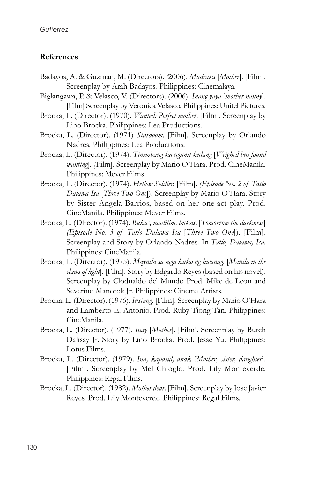#### References

- Badayos, A. & Guzman, M. (Directors). (2006). Mudraks [Mother]. [Film]. Screenplay by Arah Badayos. Philippines: Cinemalaya.
- Biglangawa, P. & Velasco, V. (Directors). (2006). Inang yaya [mother nanny]. [Film] Screenplay by Veronica Velasco. Philippines: Unitel Pictures.
- Brocka, L. (Director). (1970). *Wanted: Perfect mother*. [Film]. Screenplay by Lino Brocka. Philippines: Lea Productions.
- Brocka, L. (Director). (1971) Stardoom. [Film]. Screenplay by Orlando Nadres. Philippines: Lea Productions.
- Brocka, L. (Director). (1974). Tinimbang ka ngunit kulang [Weighed but found wanting]. [Film]. Screenplay by Mario O'Hara. Prod. CineManila. Philippines: Mever Films.
- Brocka, L. (Director). (1974). Hellow Soldier. [Film]. (Episode No. 2 of Tatlo Dalawa Isa [Three Two One]). Screenplay by Mario O'Hara. Story by Sister Angela Barrios, based on her one-act play. Prod. CineManila. Philippines: Mever Films.
- Brocka, L. (Director). (1974). Bukas, madilim, bukas. [Tomorrow the darkness] (Episode No. 3 of Tatlo Dalawa Isa [Three Two One]). [Film]. Screenplay and Story by Orlando Nadres. In Tatlo, Dalawa, Isa. Philippines: CineManila.
- Brocka, L. (Director). (1975). Maynila sa mga kuko ng liwanag. [Manila in the claws of light]. [Film]. Story by Edgardo Reyes (based on his novel). Screenplay by Clodualdo del Mundo Prod. Mike de Leon and Severino Manotok Jr. Philippines: Cinema Artists.
- Brocka, L. (Director). (1976). Insiang. [Film]. Screenplay by Mario O'Hara and Lamberto E. Antonio. Prod. Ruby Tiong Tan. Philippines: CineManila.
- Brocka, L. (Director). (1977). Inay [Mother]. [Film]. Screenplay by Butch Dalisay Jr. Story by Lino Brocka. Prod. Jesse Yu. Philippines: Lotus Films.
- Brocka, L. (Director). (1979). Ina, kapatid, anak [Mother, sister, daughter]. [Film]. Screenplay by Mel Chioglo. Prod. Lily Monteverde. Philippines: Regal Films.
- Brocka, L. (Director). (1982). Mother dear. [Film]. Screenplay by Jose Javier Reyes. Prod. Lily Monteverde. Philippines: Regal Films.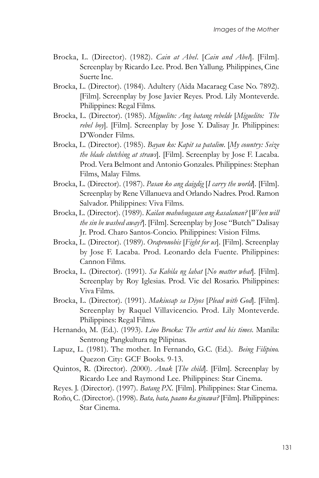- Brocka, L. (Director). (1982). Cain at Abel. [Cain and Abel]. [Film]. Screenplay by Ricardo Lee. Prod. Ben Yallung. Philippines, Cine Suerte Inc.
- Brocka, L. (Director). (1984). Adultery (Aida Macaraeg Case No. 7892). [Film]. Screenplay by Jose Javier Reyes. Prod. Lily Monteverde. Philippines: Regal Films.
- Brocka, L. (Director). (1985). Miguelito: Ang batang rebelde [Miguelito: The rebel boy]. [Film]. Screenplay by Jose Y. Dalisay Jr. Philippines: D'Wonder Films.
- Brocka, L. (Director). (1985). Bayan ko: Kapit sa patalim. [My country: Seize the blade clutching at straws]. [Film]. Screenplay by Jose F. Lacaba. Prod. Vera Belmont and Antonio Gonzales. Philippines: Stephan Films, Malay Films.
- Brocka, L. (Director). (1987). Pasan ko ang daigdig [I carry the world]. [Film]. Screenplay by Rene Villanueva and Orlando Nadres. Prod. Ramon Salvador. Philippines: Viva Films.
- Brocka, L. (Director). (1989). Kailan mahuhugasan ang kasalanan? [When will the sin be washed away?]. [Film]. Screenplay by Jose "Butch" Dalisay Jr. Prod. Charo Santos-Concio. Philippines: Vision Films.
- Brocka, L. (Director). (1989). Orapronobis [Fight for us]. [Film]. Screenplay by Jose F. Lacaba. Prod. Leonardo dela Fuente. Philippines: Cannon Films.
- Brocka, L. (Director). (1991). Sa Kabila ng lahat [No matter what]. [Film]. Screenplay by Roy Iglesias. Prod. Vic del Rosario. Philippines: Viva Films.
- Brocka, L. (Director). (1991). Makiusap sa Diyos [Plead with God]. [Film]. Screenplay by Raquel Villavicencio. Prod. Lily Monteverde. Philippines: Regal Films.
- Hernando, M. (Ed.). (1993). *Lino Brocka: The artist and his times*. Manila: Sentrong Pangkultura ng Pilipinas.
- Lapuz, L. (1981). The mother. In Fernando, G.C. (Ed.). Being Filipino. Quezon City: GCF Books. 9-13.
- Quintos, R. (Director). (2000). Anak [The child]. [Film]. Screenplay by Ricardo Lee and Raymond Lee. Philippines: Star Cinema.
- Reyes. J. (Director). (1997). Batang PX. [Film]. Philippines: Star Cinema.
- Roño, C. (Director). (1998). Bata, bata, paano ka ginawa? [Film]. Philippines: Star Cinema.